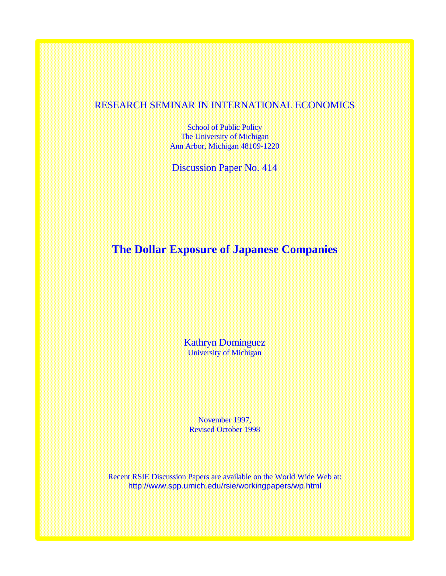## RESEARCH SEMINAR IN INTERNATIONAL ECONOMICS

School of Public Policy The University of Michigan Ann Arbor, Michigan 48109-1220

Discussion Paper No. 414

# **The Dollar Exposure of Japanese Companies**

Kathryn Dominguez University of Michigan

November 1997, Revised October 1998

Recent RSIE Discussion Papers are available on the World Wide Web at: http://www.spp.umich.edu/rsie/workingpapers/wp.html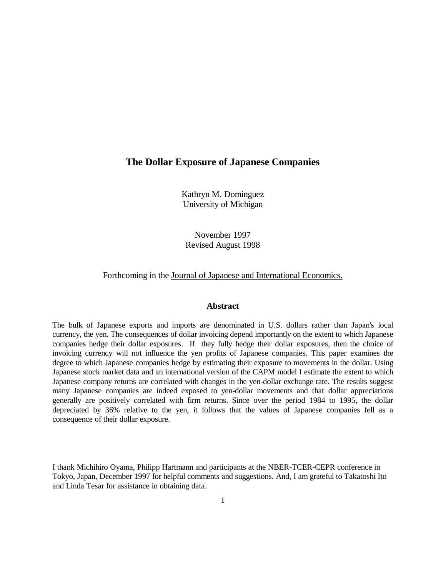## **The Dollar Exposure of Japanese Companies**

Kathryn M. Dominguez University of Michigan

November 1997 Revised August 1998

Forthcoming in the Journal of Japanese and International Economics.

## **Abstract**

The bulk of Japanese exports and imports are denominated in U.S. dollars rather than Japan's local currency, the yen. The consequences of dollar invoicing depend importantly on the extent to which Japanese companies hedge their dollar exposures. If they fully hedge their dollar exposures, then the choice of invoicing currency will not influence the yen profits of Japanese companies. This paper examines the degree to which Japanese companies hedge by estimating their exposure to movements in the dollar. Using Japanese stock market data and an international version of the CAPM model I estimate the extent to which Japanese company returns are correlated with changes in the yen-dollar exchange rate. The results suggest many Japanese companies are indeed exposed to yen-dollar movements and that dollar appreciations generally are positively correlated with firm returns. Since over the period 1984 to 1995, the dollar depreciated by 36% relative to the yen, it follows that the values of Japanese companies fell as a consequence of their dollar exposure.

I thank Michihiro Oyama, Philipp Hartmann and participants at the NBER-TCER-CEPR conference in Tokyo, Japan, December 1997 for helpful comments and suggestions. And, I am grateful to Takatoshi Ito and Linda Tesar for assistance in obtaining data.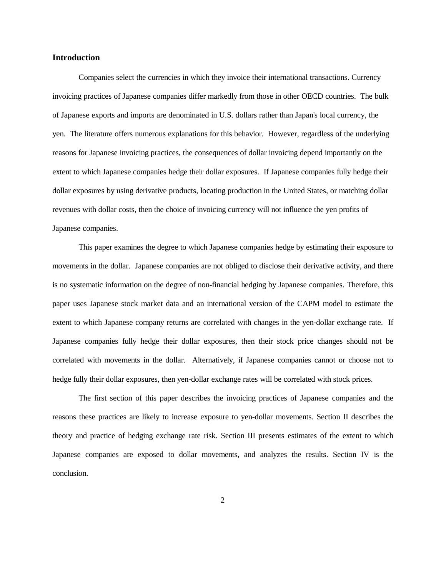## **Introduction**

Companies select the currencies in which they invoice their international transactions. Currency invoicing practices of Japanese companies differ markedly from those in other OECD countries. The bulk of Japanese exports and imports are denominated in U.S. dollars rather than Japan's local currency, the yen. The literature offers numerous explanations for this behavior. However, regardless of the underlying reasons for Japanese invoicing practices, the consequences of dollar invoicing depend importantly on the extent to which Japanese companies hedge their dollar exposures. If Japanese companies fully hedge their dollar exposures by using derivative products, locating production in the United States, or matching dollar revenues with dollar costs, then the choice of invoicing currency will not influence the yen profits of Japanese companies.

This paper examines the degree to which Japanese companies hedge by estimating their exposure to movements in the dollar. Japanese companies are not obliged to disclose their derivative activity, and there is no systematic information on the degree of non-financial hedging by Japanese companies. Therefore, this paper uses Japanese stock market data and an international version of the CAPM model to estimate the extent to which Japanese company returns are correlated with changes in the yen-dollar exchange rate. If Japanese companies fully hedge their dollar exposures, then their stock price changes should not be correlated with movements in the dollar. Alternatively, if Japanese companies cannot or choose not to hedge fully their dollar exposures, then yen-dollar exchange rates will be correlated with stock prices.

The first section of this paper describes the invoicing practices of Japanese companies and the reasons these practices are likely to increase exposure to yen-dollar movements. Section II describes the theory and practice of hedging exchange rate risk. Section III presents estimates of the extent to which Japanese companies are exposed to dollar movements, and analyzes the results. Section IV is the conclusion.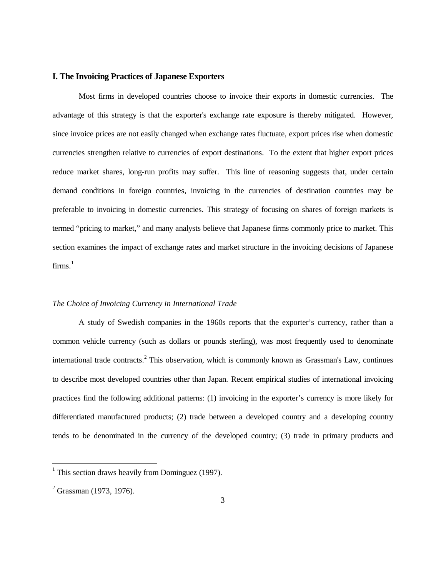## **I. The Invoicing Practices of Japanese Exporters**

Most firms in developed countries choose to invoice their exports in domestic currencies. The advantage of this strategy is that the exporter's exchange rate exposure is thereby mitigated. However, since invoice prices are not easily changed when exchange rates fluctuate, export prices rise when domestic currencies strengthen relative to currencies of export destinations. To the extent that higher export prices reduce market shares, long-run profits may suffer. This line of reasoning suggests that, under certain demand conditions in foreign countries, invoicing in the currencies of destination countries may be preferable to invoicing in domestic currencies. This strategy of focusing on shares of foreign markets is termed "pricing to market," and many analysts believe that Japanese firms commonly price to market. This section examines the impact of exchange rates and market structure in the invoicing decisions of Japanese  $firms<sup>1</sup>$ 

## *The Choice of Invoicing Currency in International Trade*

A study of Swedish companies in the 1960s reports that the exporter's currency, rather than a common vehicle currency (such as dollars or pounds sterling), was most frequently used to denominate international trade contracts.<sup>2</sup> This observation, which is commonly known as Grassman's Law, continues to describe most developed countries other than Japan. Recent empirical studies of international invoicing practices find the following additional patterns: (1) invoicing in the exporter's currency is more likely for differentiated manufactured products; (2) trade between a developed country and a developing country tends to be denominated in the currency of the developed country; (3) trade in primary products and

1

 $<sup>1</sup>$  This section draws heavily from Dominguez (1997).</sup>

 $2$  Grassman (1973, 1976).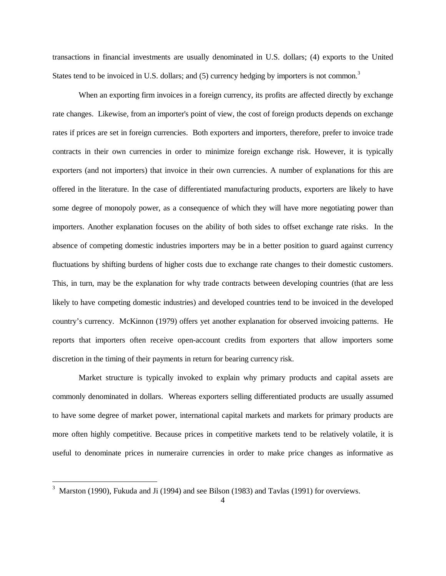transactions in financial investments are usually denominated in U.S. dollars; (4) exports to the United States tend to be invoiced in U.S. dollars; and (5) currency hedging by importers is not common.<sup>3</sup>

When an exporting firm invoices in a foreign currency, its profits are affected directly by exchange rate changes. Likewise, from an importer's point of view, the cost of foreign products depends on exchange rates if prices are set in foreign currencies. Both exporters and importers, therefore, prefer to invoice trade contracts in their own currencies in order to minimize foreign exchange risk. However, it is typically exporters (and not importers) that invoice in their own currencies. A number of explanations for this are offered in the literature. In the case of differentiated manufacturing products, exporters are likely to have some degree of monopoly power, as a consequence of which they will have more negotiating power than importers. Another explanation focuses on the ability of both sides to offset exchange rate risks. In the absence of competing domestic industries importers may be in a better position to guard against currency fluctuations by shifting burdens of higher costs due to exchange rate changes to their domestic customers. This, in turn, may be the explanation for why trade contracts between developing countries (that are less likely to have competing domestic industries) and developed countries tend to be invoiced in the developed country's currency. McKinnon (1979) offers yet another explanation for observed invoicing patterns. He reports that importers often receive open-account credits from exporters that allow importers some discretion in the timing of their payments in return for bearing currency risk.

Market structure is typically invoked to explain why primary products and capital assets are commonly denominated in dollars. Whereas exporters selling differentiated products are usually assumed to have some degree of market power, international capital markets and markets for primary products are more often highly competitive. Because prices in competitive markets tend to be relatively volatile, it is useful to denominate prices in numeraire currencies in order to make price changes as informative as

<u>.</u>

<sup>3</sup> Marston (1990), Fukuda and Ji (1994) and see Bilson (1983) and Tavlas (1991) for overviews.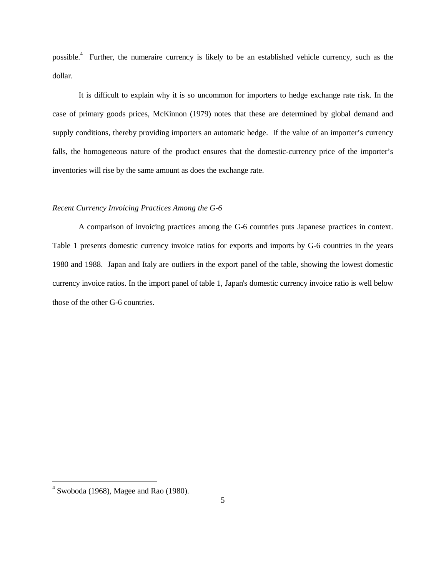possible.<sup>4</sup> Further, the numeraire currency is likely to be an established vehicle currency, such as the dollar.

It is difficult to explain why it is so uncommon for importers to hedge exchange rate risk. In the case of primary goods prices, McKinnon (1979) notes that these are determined by global demand and supply conditions, thereby providing importers an automatic hedge. If the value of an importer's currency falls, the homogeneous nature of the product ensures that the domestic-currency price of the importer's inventories will rise by the same amount as does the exchange rate.

## *Recent Currency Invoicing Practices Among the G-6*

A comparison of invoicing practices among the G-6 countries puts Japanese practices in context. Table 1 presents domestic currency invoice ratios for exports and imports by G-6 countries in the years 1980 and 1988. Japan and Italy are outliers in the export panel of the table, showing the lowest domestic currency invoice ratios. In the import panel of table 1, Japan's domestic currency invoice ratio is well below those of the other G-6 countries.

<u>.</u>

 $<sup>4</sup>$  Swoboda (1968), Magee and Rao (1980).</sup>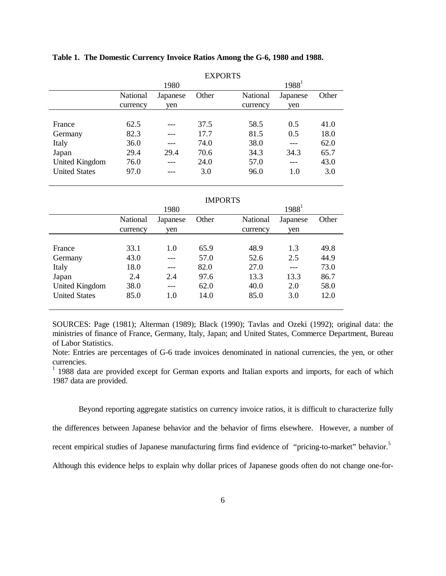|                      | <b>EXPORTS</b> |          |       |                               |  |  |  |
|----------------------|----------------|----------|-------|-------------------------------|--|--|--|
|                      |                | 1980     |       | $1988^1$                      |  |  |  |
|                      | National       | Japanese | Other | Other<br>National<br>Japanese |  |  |  |
|                      | currency       | yen      |       | currency<br>yen               |  |  |  |
|                      |                |          |       |                               |  |  |  |
| France               | 62.5           |          | 37.5  | 58.5<br>0.5<br>41.0           |  |  |  |
| Germany              | 82.3           |          | 17.7  | 81.5<br>18.0<br>0.5           |  |  |  |
| Italy                | 36.0           |          | 74.0  | 38.0<br>62.0                  |  |  |  |
| Japan                | 29.4           | 29.4     | 70.6  | 34.3<br>34.3<br>65.7          |  |  |  |
| United Kingdom       | 76.0           |          | 24.0  | 57.0<br>43.0<br>---           |  |  |  |
| <b>United States</b> | 97.0           |          | 3.0   | 3.0<br>96.0<br>1.0            |  |  |  |
|                      |                |          |       |                               |  |  |  |

**Table 1. The Domestic Currency Invoice Ratios Among the G-6, 1980 and 1988.**

## IMPORTS

|                       |          | 1980     |       |          | $1988^1$ |       |  |  |
|-----------------------|----------|----------|-------|----------|----------|-------|--|--|
|                       | National | Japanese | Other | National | Japanese | Other |  |  |
|                       | currency | yen      |       | currency | yen      |       |  |  |
|                       |          |          |       |          |          |       |  |  |
| France                | 33.1     | 1.0      | 65.9  | 48.9     | 1.3      | 49.8  |  |  |
| Germany               | 43.0     |          | 57.0  | 52.6     | 2.5      | 44.9  |  |  |
| Italy                 | 18.0     |          | 82.0  | 27.0     | ---      | 73.0  |  |  |
| Japan                 | 2.4      | 2.4      | 97.6  | 13.3     | 13.3     | 86.7  |  |  |
| <b>United Kingdom</b> | 38.0     | ---      | 62.0  | 40.0     | 2.0      | 58.0  |  |  |
| <b>United States</b>  | 85.0     | 1.0      | 14.0  | 85.0     | 3.0      | 12.0  |  |  |
|                       |          |          |       |          |          |       |  |  |

SOURCES: Page (1981); Alterman (1989); Black (1990); Tavlas and Ozeki (1992); original data: the ministries of finance of France, Germany, Italy, Japan; and United States, Commerce Department, Bureau of Labor Statistics.

Note: Entries are percentages of G-6 trade invoices denominated in national currencies, the yen, or other currencies.

 $1$  1988 data are provided except for German exports and Italian exports and imports, for each of which 1987 data are provided.

Beyond reporting aggregate statistics on currency invoice ratios, it is difficult to characterize fully

the differences between Japanese behavior and the behavior of firms elsewhere. However, a number of

recent empirical studies of Japanese manufacturing firms find evidence of "pricing-to-market" behavior.<sup>5</sup>

Although this evidence helps to explain why dollar prices of Japanese goods often do not change one-for-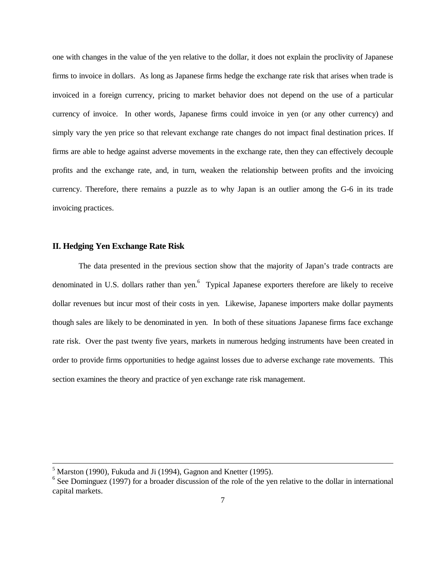one with changes in the value of the yen relative to the dollar, it does not explain the proclivity of Japanese firms to invoice in dollars. As long as Japanese firms hedge the exchange rate risk that arises when trade is invoiced in a foreign currency, pricing to market behavior does not depend on the use of a particular currency of invoice. In other words, Japanese firms could invoice in yen (or any other currency) and simply vary the yen price so that relevant exchange rate changes do not impact final destination prices. If firms are able to hedge against adverse movements in the exchange rate, then they can effectively decouple profits and the exchange rate, and, in turn, weaken the relationship between profits and the invoicing currency. Therefore, there remains a puzzle as to why Japan is an outlier among the G-6 in its trade invoicing practices.

## **II. Hedging Yen Exchange Rate Risk**

-

The data presented in the previous section show that the majority of Japan's trade contracts are denominated in U.S. dollars rather than yen.<sup>6</sup> Typical Japanese exporters therefore are likely to receive dollar revenues but incur most of their costs in yen. Likewise, Japanese importers make dollar payments though sales are likely to be denominated in yen. In both of these situations Japanese firms face exchange rate risk. Over the past twenty five years, markets in numerous hedging instruments have been created in order to provide firms opportunities to hedge against losses due to adverse exchange rate movements. This section examines the theory and practice of yen exchange rate risk management.

 $<sup>5</sup>$  Marston (1990), Fukuda and Ji (1994), Gagnon and Knetter (1995).</sup>

 $6$  See Dominguez (1997) for a broader discussion of the role of the yen relative to the dollar in international capital markets.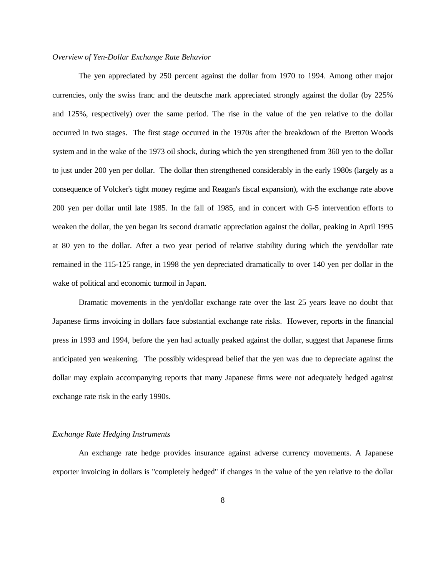#### *Overview of Yen-Dollar Exchange Rate Behavior*

The yen appreciated by 250 percent against the dollar from 1970 to 1994. Among other major currencies, only the swiss franc and the deutsche mark appreciated strongly against the dollar (by 225% and 125%, respectively) over the same period. The rise in the value of the yen relative to the dollar occurred in two stages. The first stage occurred in the 1970s after the breakdown of the Bretton Woods system and in the wake of the 1973 oil shock, during which the yen strengthened from 360 yen to the dollar to just under 200 yen per dollar. The dollar then strengthened considerably in the early 1980s (largely as a consequence of Volcker's tight money regime and Reagan's fiscal expansion), with the exchange rate above 200 yen per dollar until late 1985. In the fall of 1985, and in concert with G-5 intervention efforts to weaken the dollar, the yen began its second dramatic appreciation against the dollar, peaking in April 1995 at 80 yen to the dollar. After a two year period of relative stability during which the yen/dollar rate remained in the 115-125 range, in 1998 the yen depreciated dramatically to over 140 yen per dollar in the wake of political and economic turmoil in Japan.

Dramatic movements in the yen/dollar exchange rate over the last 25 years leave no doubt that Japanese firms invoicing in dollars face substantial exchange rate risks. However, reports in the financial press in 1993 and 1994, before the yen had actually peaked against the dollar, suggest that Japanese firms anticipated yen weakening. The possibly widespread belief that the yen was due to depreciate against the dollar may explain accompanying reports that many Japanese firms were not adequately hedged against exchange rate risk in the early 1990s.

#### *Exchange Rate Hedging Instruments*

An exchange rate hedge provides insurance against adverse currency movements. A Japanese exporter invoicing in dollars is "completely hedged" if changes in the value of the yen relative to the dollar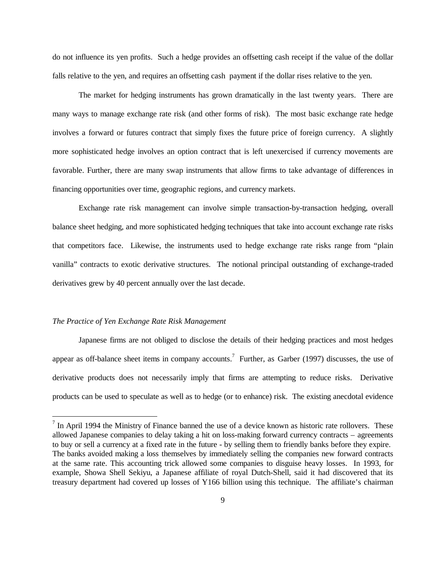do not influence its yen profits. Such a hedge provides an offsetting cash receipt if the value of the dollar falls relative to the yen, and requires an offsetting cash payment if the dollar rises relative to the yen.

The market for hedging instruments has grown dramatically in the last twenty years. There are many ways to manage exchange rate risk (and other forms of risk). The most basic exchange rate hedge involves a forward or futures contract that simply fixes the future price of foreign currency. A slightly more sophisticated hedge involves an option contract that is left unexercised if currency movements are favorable. Further, there are many swap instruments that allow firms to take advantage of differences in financing opportunities over time, geographic regions, and currency markets.

Exchange rate risk management can involve simple transaction-by-transaction hedging, overall balance sheet hedging, and more sophisticated hedging techniques that take into account exchange rate risks that competitors face. Likewise, the instruments used to hedge exchange rate risks range from "plain vanilla" contracts to exotic derivative structures. The notional principal outstanding of exchange-traded derivatives grew by 40 percent annually over the last decade.

#### *The Practice of Yen Exchange Rate Risk Management*

1

Japanese firms are not obliged to disclose the details of their hedging practices and most hedges appear as off-balance sheet items in company accounts.<sup>7</sup> Further, as Garber (1997) discusses, the use of derivative products does not necessarily imply that firms are attempting to reduce risks. Derivative products can be used to speculate as well as to hedge (or to enhance) risk. The existing anecdotal evidence

 $<sup>7</sup>$  In April 1994 the Ministry of Finance banned the use of a device known as historic rate rollovers. These</sup> allowed Japanese companies to delay taking a hit on loss-making forward currency contracts – agreements to buy or sell a currency at a fixed rate in the future - by selling them to friendly banks before they expire. The banks avoided making a loss themselves by immediately selling the companies new forward contracts at the same rate. This accounting trick allowed some companies to disguise heavy losses. In 1993, for example, Showa Shell Sekiyu, a Japanese affiliate of royal Dutch-Shell, said it had discovered that its treasury department had covered up losses of Y166 billion using this technique. The affiliate's chairman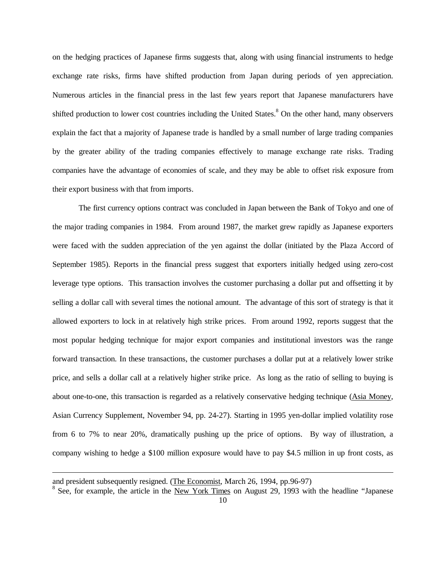on the hedging practices of Japanese firms suggests that, along with using financial instruments to hedge exchange rate risks, firms have shifted production from Japan during periods of yen appreciation. Numerous articles in the financial press in the last few years report that Japanese manufacturers have shifted production to lower cost countries including the United States.<sup>8</sup> On the other hand, many observers explain the fact that a majority of Japanese trade is handled by a small number of large trading companies by the greater ability of the trading companies effectively to manage exchange rate risks. Trading companies have the advantage of economies of scale, and they may be able to offset risk exposure from their export business with that from imports.

The first currency options contract was concluded in Japan between the Bank of Tokyo and one of the major trading companies in 1984. From around 1987, the market grew rapidly as Japanese exporters were faced with the sudden appreciation of the yen against the dollar (initiated by the Plaza Accord of September 1985). Reports in the financial press suggest that exporters initially hedged using zero-cost leverage type options. This transaction involves the customer purchasing a dollar put and offsetting it by selling a dollar call with several times the notional amount. The advantage of this sort of strategy is that it allowed exporters to lock in at relatively high strike prices. From around 1992, reports suggest that the most popular hedging technique for major export companies and institutional investors was the range forward transaction. In these transactions, the customer purchases a dollar put at a relatively lower strike price, and sells a dollar call at a relatively higher strike price. As long as the ratio of selling to buying is about one-to-one, this transaction is regarded as a relatively conservative hedging technique (Asia Money, Asian Currency Supplement, November 94, pp. 24-27). Starting in 1995 yen-dollar implied volatility rose from 6 to 7% to near 20%, dramatically pushing up the price of options. By way of illustration, a company wishing to hedge a \$100 million exposure would have to pay \$4.5 million in up front costs, as

l

and president subsequently resigned. (The Economist, March 26, 1994, pp.96-97)

<sup>&</sup>lt;sup>8</sup> See, for example, the article in the New York Times on August 29, 1993 with the headline "Japanese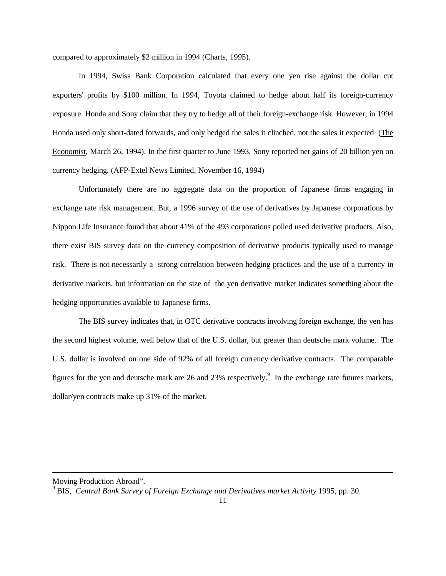compared to approximately \$2 million in 1994 (Charts, 1995).

In 1994, Swiss Bank Corporation calculated that every one yen rise against the dollar cut exporters' profits by \$100 million. In 1994, Toyota claimed to hedge about half its foreign-currency exposure. Honda and Sony claim that they try to hedge all of their foreign-exchange risk. However, in 1994 Honda used only short-dated forwards, and only hedged the sales it clinched, not the sales it expected (The Economist, March 26, 1994). In the first quarter to June 1993, Sony reported net gains of 20 billion yen on currency hedging. (AFP-Extel News Limited, November 16, 1994)

Unfortunately there are no aggregate data on the proportion of Japanese firms engaging in exchange rate risk management. But, a 1996 survey of the use of derivatives by Japanese corporations by Nippon Life Insurance found that about 41% of the 493 corporations polled used derivative products. Also, there exist BIS survey data on the currency composition of derivative products typically used to manage risk. There is not necessarily a strong correlation between hedging practices and the use of a currency in derivative markets, but information on the size of the yen derivative market indicates something about the hedging opportunities available to Japanese firms.

The BIS survey indicates that, in OTC derivative contracts involving foreign exchange, the yen has the second highest volume, well below that of the U.S. dollar, but greater than deutsche mark volume. The U.S. dollar is involved on one side of 92% of all foreign currency derivative contracts. The comparable figures for the yen and deutsche mark are 26 and 23% respectively.<sup>9</sup> In the exchange rate futures markets, dollar/yen contracts make up 31% of the market.

l

Moving Production Abroad".

<sup>9</sup> BIS, *Central Bank Survey of Foreign Exchange and Derivatives market Activity* 1995, pp. 30.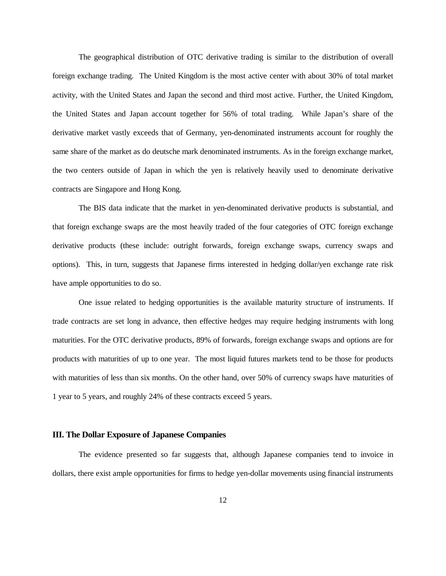The geographical distribution of OTC derivative trading is similar to the distribution of overall foreign exchange trading. The United Kingdom is the most active center with about 30% of total market activity, with the United States and Japan the second and third most active. Further, the United Kingdom, the United States and Japan account together for 56% of total trading. While Japan's share of the derivative market vastly exceeds that of Germany, yen-denominated instruments account for roughly the same share of the market as do deutsche mark denominated instruments. As in the foreign exchange market, the two centers outside of Japan in which the yen is relatively heavily used to denominate derivative contracts are Singapore and Hong Kong.

The BIS data indicate that the market in yen-denominated derivative products is substantial, and that foreign exchange swaps are the most heavily traded of the four categories of OTC foreign exchange derivative products (these include: outright forwards, foreign exchange swaps, currency swaps and options). This, in turn, suggests that Japanese firms interested in hedging dollar/yen exchange rate risk have ample opportunities to do so.

One issue related to hedging opportunities is the available maturity structure of instruments. If trade contracts are set long in advance, then effective hedges may require hedging instruments with long maturities. For the OTC derivative products, 89% of forwards, foreign exchange swaps and options are for products with maturities of up to one year. The most liquid futures markets tend to be those for products with maturities of less than six months. On the other hand, over 50% of currency swaps have maturities of 1 year to 5 years, and roughly 24% of these contracts exceed 5 years.

#### **III. The Dollar Exposure of Japanese Companies**

The evidence presented so far suggests that, although Japanese companies tend to invoice in dollars, there exist ample opportunities for firms to hedge yen-dollar movements using financial instruments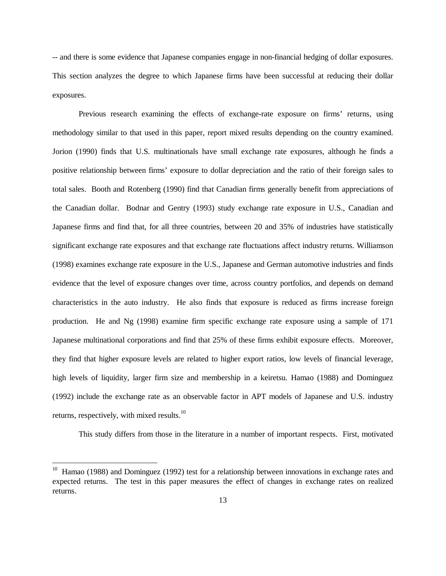-- and there is some evidence that Japanese companies engage in non-financial hedging of dollar exposures. This section analyzes the degree to which Japanese firms have been successful at reducing their dollar exposures.

Previous research examining the effects of exchange-rate exposure on firms' returns, using methodology similar to that used in this paper, report mixed results depending on the country examined. Jorion (1990) finds that U.S. multinationals have small exchange rate exposures, although he finds a positive relationship between firms' exposure to dollar depreciation and the ratio of their foreign sales to total sales. Booth and Rotenberg (1990) find that Canadian firms generally benefit from appreciations of the Canadian dollar. Bodnar and Gentry (1993) study exchange rate exposure in U.S., Canadian and Japanese firms and find that, for all three countries, between 20 and 35% of industries have statistically significant exchange rate exposures and that exchange rate fluctuations affect industry returns. Williamson (1998) examines exchange rate exposure in the U.S., Japanese and German automotive industries and finds evidence that the level of exposure changes over time, across country portfolios, and depends on demand characteristics in the auto industry. He also finds that exposure is reduced as firms increase foreign production. He and Ng (1998) examine firm specific exchange rate exposure using a sample of 171 Japanese multinational corporations and find that 25% of these firms exhibit exposure effects. Moreover, they find that higher exposure levels are related to higher export ratios, low levels of financial leverage, high levels of liquidity, larger firm size and membership in a keiretsu. Hamao (1988) and Dominguez (1992) include the exchange rate as an observable factor in APT models of Japanese and U.S. industry returns, respectively, with mixed results.<sup>10</sup>

This study differs from those in the literature in a number of important respects. First, motivated

 $\overline{a}$ 

<sup>10</sup> Hamao (1988) and Dominguez (1992) test for a relationship between innovations in exchange rates and expected returns. The test in this paper measures the effect of changes in exchange rates on realized returns.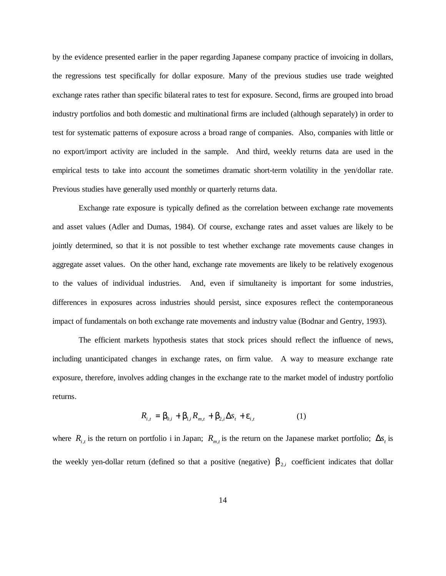by the evidence presented earlier in the paper regarding Japanese company practice of invoicing in dollars, the regressions test specifically for dollar exposure. Many of the previous studies use trade weighted exchange rates rather than specific bilateral rates to test for exposure. Second, firms are grouped into broad industry portfolios and both domestic and multinational firms are included (although separately) in order to test for systematic patterns of exposure across a broad range of companies. Also, companies with little or no export/import activity are included in the sample. And third, weekly returns data are used in the empirical tests to take into account the sometimes dramatic short-term volatility in the yen/dollar rate. Previous studies have generally used monthly or quarterly returns data.

Exchange rate exposure is typically defined as the correlation between exchange rate movements and asset values (Adler and Dumas, 1984). Of course, exchange rates and asset values are likely to be jointly determined, so that it is not possible to test whether exchange rate movements cause changes in aggregate asset values. On the other hand, exchange rate movements are likely to be relatively exogenous to the values of individual industries. And, even if simultaneity is important for some industries, differences in exposures across industries should persist, since exposures reflect the contemporaneous impact of fundamentals on both exchange rate movements and industry value (Bodnar and Gentry, 1993).

The efficient markets hypothesis states that stock prices should reflect the influence of news, including unanticipated changes in exchange rates, on firm value. A way to measure exchange rate exposure, therefore, involves adding changes in the exchange rate to the market model of industry portfolio returns.

$$
R_{i,t} = \mathbf{b}_{0,i} + \mathbf{b}_{1,i}R_{m,t} + \mathbf{b}_{2,i}\Delta s_t + \mathbf{e}_{i,t}
$$
 (1)

where  $R_{i,t}$  is the return on portfolio i in Japan;  $R_{m,t}$  is the return on the Japanese market portfolio;  $\Delta s_t$  is the weekly yen-dollar return (defined so that a positive (negative)  $\bm{b}_{2,i}$  coefficient indicates that dollar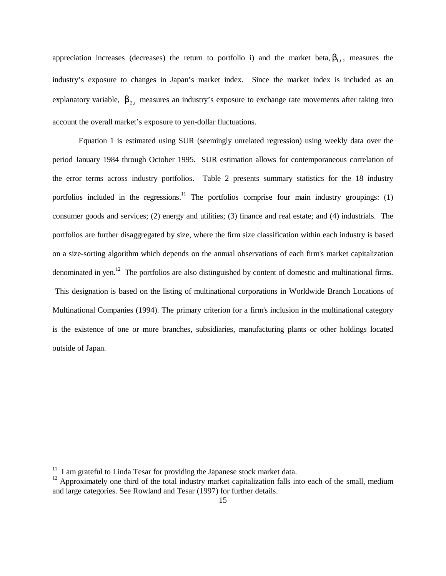appreciation increases (decreases) the return to portfolio i) and the market beta,  $\bm{b}_{1,i}$ , measures the industry's exposure to changes in Japan's market index. Since the market index is included as an explanatory variable,  $\bm{b}_{2,i}$  measures an industry's exposure to exchange rate movements after taking into account the overall market's exposure to yen-dollar fluctuations.

Equation 1 is estimated using SUR (seemingly unrelated regression) using weekly data over the period January 1984 through October 1995. SUR estimation allows for contemporaneous correlation of the error terms across industry portfolios. Table 2 presents summary statistics for the 18 industry portfolios included in the regressions.<sup>11</sup> The portfolios comprise four main industry groupings: (1) consumer goods and services; (2) energy and utilities; (3) finance and real estate; and (4) industrials. The portfolios are further disaggregated by size, where the firm size classification within each industry is based on a size-sorting algorithm which depends on the annual observations of each firm's market capitalization denominated in yen.<sup>12</sup> The portfolios are also distinguished by content of domestic and multinational firms. This designation is based on the listing of multinational corporations in Worldwide Branch Locations of Multinational Companies (1994). The primary criterion for a firm's inclusion in the multinational category is the existence of one or more branches, subsidiaries, manufacturing plants or other holdings located outside of Japan.

 $\overline{a}$ 

 $11$  I am grateful to Linda Tesar for providing the Japanese stock market data.

<sup>&</sup>lt;sup>12</sup> Approximately one third of the total industry market capitalization falls into each of the small, medium and large categories. See Rowland and Tesar (1997) for further details.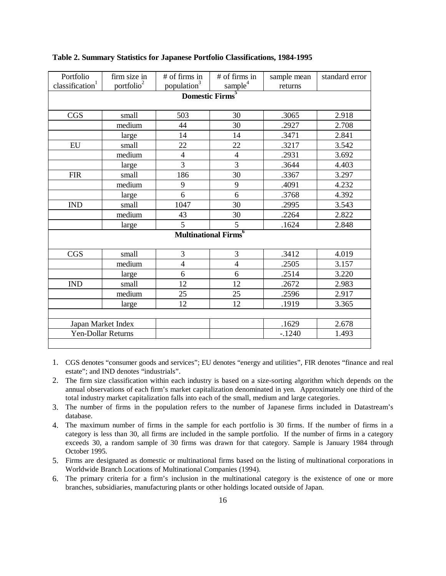| Portfolio<br>classification <sup>1</sup> | firm size in<br>portfolio <sup>2</sup> | $#$ of firms in<br>population <sup>3</sup> | $#$ of firms in<br>sample <sup>4</sup>  | sample mean<br>returns | standard error |  |  |  |  |
|------------------------------------------|----------------------------------------|--------------------------------------------|-----------------------------------------|------------------------|----------------|--|--|--|--|
| Domestic Firms <sup>5</sup>              |                                        |                                            |                                         |                        |                |  |  |  |  |
| <b>CGS</b>                               | small                                  | 503                                        | 30                                      | .3065                  | 2.918          |  |  |  |  |
|                                          | medium                                 | 44                                         | 30                                      | .2927                  | 2.708          |  |  |  |  |
|                                          | large                                  | 14                                         | 14                                      | .3471                  | 2.841          |  |  |  |  |
| EU                                       | small                                  | 22                                         | 22                                      | .3217                  | 3.542          |  |  |  |  |
|                                          | medium                                 | $\overline{4}$                             | $\overline{4}$                          | .2931                  | 3.692          |  |  |  |  |
|                                          | large                                  | $\overline{3}$                             | 3                                       | .3644                  | 4.403          |  |  |  |  |
| <b>FIR</b>                               | small                                  | 186                                        | 30                                      | .3367                  | 3.297          |  |  |  |  |
|                                          | medium                                 | 9                                          | 9                                       | .4091                  | 4.232          |  |  |  |  |
|                                          | large                                  | 6                                          | 6                                       | .3768                  | 4.392          |  |  |  |  |
| <b>IND</b>                               | small                                  | 1047                                       | 30                                      | .2995                  | 3.543          |  |  |  |  |
|                                          | medium                                 | 43                                         | 30                                      | .2264                  | 2.822          |  |  |  |  |
|                                          | large                                  | 5                                          | 5                                       | .1624                  | 2.848          |  |  |  |  |
|                                          |                                        |                                            | <b>Multinational Firms</b> <sup>6</sup> |                        |                |  |  |  |  |
| CGS                                      | small                                  | 3                                          | 3                                       | .3412                  | 4.019          |  |  |  |  |
|                                          | medium                                 | $\overline{4}$                             | $\overline{4}$                          | .2505                  | 3.157          |  |  |  |  |
|                                          | large                                  | 6                                          | 6                                       | .2514                  | 3.220          |  |  |  |  |
| <b>IND</b>                               | small                                  | 12                                         | 12                                      | .2672                  | 2.983          |  |  |  |  |
|                                          | medium                                 | 25                                         | 25                                      | .2596                  | 2.917          |  |  |  |  |
|                                          | large                                  | 12                                         | 12                                      | .1919                  | 3.365          |  |  |  |  |
|                                          |                                        |                                            |                                         |                        |                |  |  |  |  |
|                                          | Japan Market Index                     |                                            |                                         | .1629                  | 2.678          |  |  |  |  |
|                                          | <b>Yen-Dollar Returns</b>              |                                            |                                         | $-1240$                | 1.493          |  |  |  |  |

#### **Table 2. Summary Statistics for Japanese Portfolio Classifications, 1984-1995**

- 1. CGS denotes "consumer goods and services"; EU denotes "energy and utilities", FIR denotes "finance and real estate"; and IND denotes "industrials".
- 2. The firm size classification within each industry is based on a size-sorting algorithm which depends on the annual observations of each firm's market capitalization denominated in yen. Approximately one third of the total industry market capitalization falls into each of the small, medium and large categories.
- 3. The number of firms in the population refers to the number of Japanese firms included in Datastream's database.
- 4. The maximum number of firms in the sample for each portfolio is 30 firms. If the number of firms in a category is less than 30, all firms are included in the sample portfolio. If the number of firms in a category exceeds 30, a random sample of 30 firms was drawn for that category. Sample is January 1984 through October 1995.
- 5. Firms are designated as domestic or multinational firms based on the listing of multinational corporations in Worldwide Branch Locations of Multinational Companies (1994).
- 6. The primary criteria for a firm's inclusion in the multinational category is the existence of one or more branches, subsidiaries, manufacturing plants or other holdings located outside of Japan.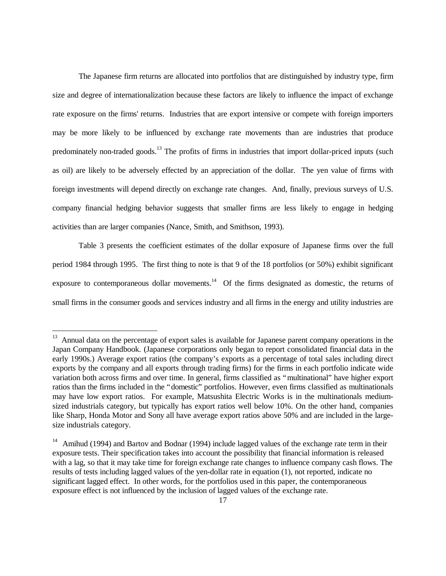The Japanese firm returns are allocated into portfolios that are distinguished by industry type, firm size and degree of internationalization because these factors are likely to influence the impact of exchange rate exposure on the firms' returns. Industries that are export intensive or compete with foreign importers may be more likely to be influenced by exchange rate movements than are industries that produce predominately non-traded goods.<sup>13</sup> The profits of firms in industries that import dollar-priced inputs (such as oil) are likely to be adversely effected by an appreciation of the dollar. The yen value of firms with foreign investments will depend directly on exchange rate changes. And, finally, previous surveys of U.S. company financial hedging behavior suggests that smaller firms are less likely to engage in hedging activities than are larger companies (Nance, Smith, and Smithson, 1993).

Table 3 presents the coefficient estimates of the dollar exposure of Japanese firms over the full period 1984 through 1995. The first thing to note is that 9 of the 18 portfolios (or 50%) exhibit significant exposure to contemporaneous dollar movements.<sup>14</sup> Of the firms designated as domestic, the returns of small firms in the consumer goods and services industry and all firms in the energy and utility industries are

<u>.</u>

<sup>&</sup>lt;sup>13</sup> Annual data on the percentage of export sales is available for Japanese parent company operations in the Japan Company Handbook. (Japanese corporations only began to report consolidated financial data in the early 1990s.) Average export ratios (the company's exports as a percentage of total sales including direct exports by the company and all exports through trading firms) for the firms in each portfolio indicate wide variation both across firms and over time. In general, firms classified as "multinational" have higher export ratios than the firms included in the "domestic" portfolios. However, even firms classified as multinationals may have low export ratios. For example, Matsushita Electric Works is in the multinationals mediumsized industrials category, but typically has export ratios well below 10%. On the other hand, companies like Sharp, Honda Motor and Sony all have average export ratios above 50% and are included in the largesize industrials category.

<sup>&</sup>lt;sup>14</sup> Amihud (1994) and Bartov and Bodnar (1994) include lagged values of the exchange rate term in their exposure tests. Their specification takes into account the possibility that financial information is released with a lag, so that it may take time for foreign exchange rate changes to influence company cash flows. The results of tests including lagged values of the yen-dollar rate in equation (1), not reported, indicate no significant lagged effect. In other words, for the portfolios used in this paper, the contemporaneous exposure effect is not influenced by the inclusion of lagged values of the exchange rate.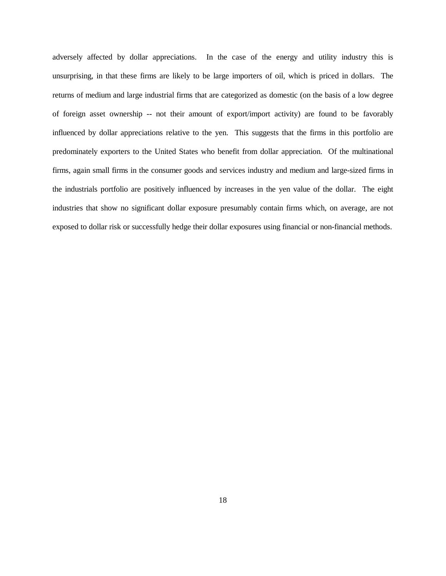adversely affected by dollar appreciations. In the case of the energy and utility industry this is unsurprising, in that these firms are likely to be large importers of oil, which is priced in dollars. The returns of medium and large industrial firms that are categorized as domestic (on the basis of a low degree of foreign asset ownership -- not their amount of export/import activity) are found to be favorably influenced by dollar appreciations relative to the yen. This suggests that the firms in this portfolio are predominately exporters to the United States who benefit from dollar appreciation. Of the multinational firms, again small firms in the consumer goods and services industry and medium and large-sized firms in the industrials portfolio are positively influenced by increases in the yen value of the dollar. The eight industries that show no significant dollar exposure presumably contain firms which, on average, are not exposed to dollar risk or successfully hedge their dollar exposures using financial or non-financial methods.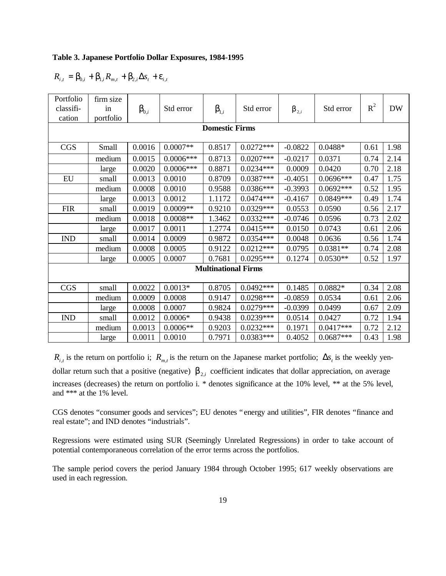#### **Table 3. Japanese Portfolio Dollar Exposures, 1984-1995**

$$
R_{i,t} = \mathbf{b}_{0,i} + \mathbf{b}_{1,i}R_{m,t} + \mathbf{b}_{2,i}\Delta s_t + \mathbf{e}_{i,t}
$$

| Portfolio  | firm size             |                                     |             |                                     |             |                |             |       |           |  |  |
|------------|-----------------------|-------------------------------------|-------------|-------------------------------------|-------------|----------------|-------------|-------|-----------|--|--|
| classifi-  | in                    | $\bm{b}_{\!\scriptscriptstyle 0,i}$ | Std error   | $\bm{b}_{\!\scriptscriptstyle 1,i}$ | Std error   | $\bm{b}_{2,i}$ | Std error   | $R^2$ | <b>DW</b> |  |  |
| cation     | portfolio             |                                     |             |                                     |             |                |             |       |           |  |  |
|            | <b>Domestic Firms</b> |                                     |             |                                     |             |                |             |       |           |  |  |
|            |                       |                                     |             |                                     |             |                |             |       |           |  |  |
| CGS        | Small                 | 0.0016                              | $0.0007**$  | 0.8517                              | $0.0272***$ | $-0.0822$      | $0.0488*$   | 0.61  | 1.98      |  |  |
|            | medium                | 0.0015                              | $0.0006***$ | 0.8713                              | $0.0207***$ | $-0.0217$      | 0.0371      | 0.74  | 2.14      |  |  |
|            | large                 | 0.0020                              | $0.0006***$ | 0.8871                              | $0.0234***$ | 0.0009         | 0.0420      | 0.70  | 2.18      |  |  |
| EU         | small                 | 0.0013                              | 0.0010      | 0.8709                              | $0.0387***$ | $-0.4051$      | $0.0696***$ | 0.47  | 1.75      |  |  |
|            | medium                | 0.0008                              | 0.0010      | 0.9588                              | 0.0386***   | $-0.3993$      | $0.0692***$ | 0.52  | 1.95      |  |  |
|            | large                 | 0.0013                              | 0.0012      | 1.1172                              | $0.0474***$ | $-0.4167$      | $0.0849***$ | 0.49  | 1.74      |  |  |
| <b>FIR</b> | small                 | 0.0019                              | $0.0009**$  | 0.9210                              | $0.0329***$ | 0.0553         | 0.0590      | 0.56  | 2.17      |  |  |
|            | medium                | 0.0018                              | $0.0008**$  | 1.3462                              | $0.0332***$ | $-0.0746$      | 0.0596      | 0.73  | 2.02      |  |  |
|            | large                 | 0.0017                              | 0.0011      | 1.2774                              | $0.0415***$ | 0.0150         | 0.0743      | 0.61  | 2.06      |  |  |
| <b>IND</b> | small                 | 0.0014                              | 0.0009      | 0.9872                              | $0.0354***$ | 0.0048         | 0.0636      | 0.56  | 1.74      |  |  |
|            | medium                | 0.0008                              | 0.0005      | 0.9122                              | $0.0212***$ | 0.0795         | $0.0381**$  | 0.74  | 2.08      |  |  |
|            | large                 | 0.0005                              | 0.0007      | 0.7681                              | $0.0295***$ | 0.1274         | $0.0530**$  | 0.52  | 1.97      |  |  |
|            |                       |                                     |             | <b>Multinational Firms</b>          |             |                |             |       |           |  |  |
|            |                       |                                     |             |                                     |             |                |             |       |           |  |  |
| CGS        | small                 | 0.0022                              | $0.0013*$   | 0.8705                              | $0.0492***$ | 0.1485         | $0.0882*$   | 0.34  | 2.08      |  |  |
|            | medium                | 0.0009                              | 0.0008      | 0.9147                              | $0.0298***$ | $-0.0859$      | 0.0534      | 0.61  | 2.06      |  |  |
|            | large                 | 0.0008                              | 0.0007      | 0.9824                              | $0.0279***$ | $-0.0399$      | 0.0499      | 0.67  | 2.09      |  |  |
| <b>IND</b> | small                 | 0.0012                              | $0.0006*$   | 0.9438                              | $0.0239***$ | 0.0514         | 0.0427      | 0.72  | 1.94      |  |  |
|            | medium                | 0.0013                              | $0.0006**$  | 0.9203                              | $0.0232***$ | 0.1971         | $0.0417***$ | 0.72  | 2.12      |  |  |
|            | large                 | 0.0011                              | 0.0010      | 0.7971                              | $0.0383***$ | 0.4052         | $0.0687***$ | 0.43  | 1.98      |  |  |

 $R_{i,t}$  is the return on portfolio i;  $R_{m,t}$  is the return on the Japanese market portfolio;  $\Delta s_t$  is the weekly yendollar return such that a positive (negative)  $b_{2,i}$  coefficient indicates that dollar appreciation, on average increases (decreases) the return on portfolio i. \* denotes significance at the 10% level, \*\* at the 5% level, and \*\*\* at the 1% level.

CGS denotes "consumer goods and services"; EU denotes "energy and utilities", FIR denotes "finance and real estate"; and IND denotes "industrials".

Regressions were estimated using SUR (Seemingly Unrelated Regressions) in order to take account of potential contemporaneous correlation of the error terms across the portfolios.

The sample period covers the period January 1984 through October 1995; 617 weekly observations are used in each regression.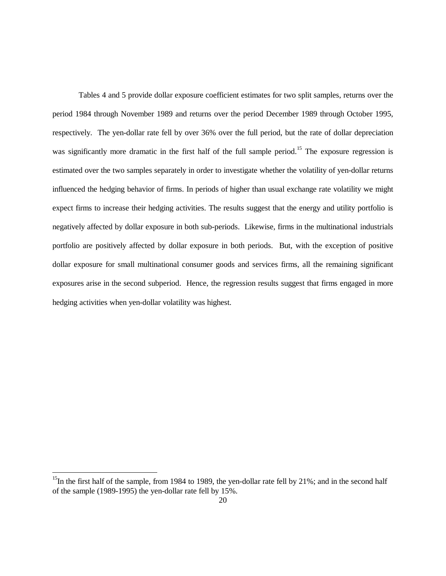Tables 4 and 5 provide dollar exposure coefficient estimates for two split samples, returns over the period 1984 through November 1989 and returns over the period December 1989 through October 1995, respectively. The yen-dollar rate fell by over 36% over the full period, but the rate of dollar depreciation was significantly more dramatic in the first half of the full sample period.<sup>15</sup> The exposure regression is estimated over the two samples separately in order to investigate whether the volatility of yen-dollar returns influenced the hedging behavior of firms. In periods of higher than usual exchange rate volatility we might expect firms to increase their hedging activities. The results suggest that the energy and utility portfolio is negatively affected by dollar exposure in both sub-periods. Likewise, firms in the multinational industrials portfolio are positively affected by dollar exposure in both periods. But, with the exception of positive dollar exposure for small multinational consumer goods and services firms, all the remaining significant exposures arise in the second subperiod. Hence, the regression results suggest that firms engaged in more hedging activities when yen-dollar volatility was highest.

 $\overline{a}$ 

<sup>&</sup>lt;sup>15</sup>In the first half of the sample, from 1984 to 1989, the yen-dollar rate fell by 21%; and in the second half of the sample (1989-1995) the yen-dollar rate fell by 15%.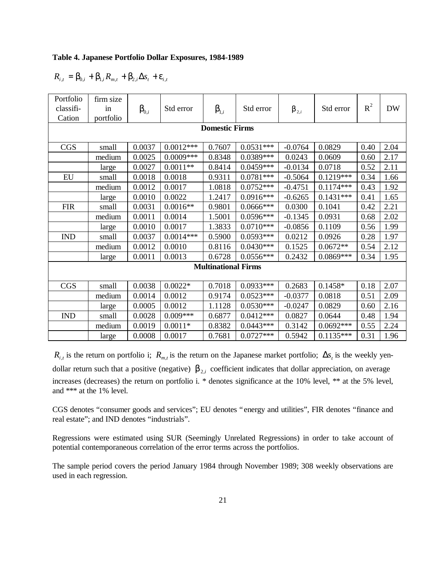#### **Table 4. Japanese Portfolio Dollar Exposures, 1984-1989**

$$
R_{i,t} = \mathbf{b}_{0,i} + \mathbf{b}_{1,i}R_{m,t} + \mathbf{b}_{2,i}\Delta s_t + \mathbf{e}_{i,t}
$$

| Portfolio  | firm size |                                     |             |                                     |             |                        |             |       |           |
|------------|-----------|-------------------------------------|-------------|-------------------------------------|-------------|------------------------|-------------|-------|-----------|
| classifi-  | in        | $\bm{b}_{\!\scriptscriptstyle 0,i}$ | Std error   | $\bm{b}_{\!\scriptscriptstyle 1,i}$ | Std error   | $\boldsymbol{b}_{2,i}$ | Std error   | $R^2$ | <b>DW</b> |
| Cation     | portfolio |                                     |             |                                     |             |                        |             |       |           |
|            |           |                                     |             | <b>Domestic Firms</b>               |             |                        |             |       |           |
|            |           |                                     |             |                                     |             |                        |             |       |           |
| CGS        | small     | 0.0037                              | $0.0012***$ | 0.7607                              | $0.0531***$ | $-0.0764$              | 0.0829      | 0.40  | 2.04      |
|            | medium    | 0.0025                              | $0.0009***$ | 0.8348                              | 0.0389***   | 0.0243                 | 0.0609      | 0.60  | 2.17      |
|            | large     | 0.0027                              | $0.0011**$  | 0.8414                              | $0.0459***$ | $-0.0134$              | 0.0718      | 0.52  | 2.11      |
| EU         | small     | 0.0018                              | 0.0018      | 0.9311                              | $0.0781***$ | $-0.5064$              | $0.1219***$ | 0.34  | 1.66      |
|            | medium    | 0.0012                              | 0.0017      | 1.0818                              | $0.0752***$ | $-0.4751$              | $0.1174***$ | 0.43  | 1.92      |
|            | large     | 0.0010                              | 0.0022      | 1.2417                              | $0.0916***$ | $-0.6265$              | $0.1431***$ | 0.41  | 1.65      |
| <b>FIR</b> | small     | 0.0031                              | $0.0016**$  | 0.9801                              | $0.0666***$ | 0.0300                 | 0.1041      | 0.42  | 2.21      |
|            | medium    | 0.0011                              | 0.0014      | 1.5001                              | $0.0596***$ | $-0.1345$              | 0.0931      | 0.68  | 2.02      |
|            | large     | 0.0010                              | 0.0017      | 1.3833                              | $0.0710***$ | $-0.0856$              | 0.1109      | 0.56  | 1.99      |
| <b>IND</b> | small     | 0.0037                              | $0.0014***$ | 0.5900                              | $0.0593***$ | 0.0212                 | 0.0926      | 0.28  | 1.97      |
|            | medium    | 0.0012                              | 0.0010      | 0.8116                              | $0.0430***$ | 0.1525                 | $0.0672**$  | 0.54  | 2.12      |
|            | large     | 0.0011                              | 0.0013      | 0.6728                              | $0.0556***$ | 0.2432                 | $0.0869***$ | 0.34  | 1.95      |
|            |           |                                     |             | <b>Multinational Firms</b>          |             |                        |             |       |           |
|            |           |                                     |             |                                     |             |                        |             |       |           |
| <b>CGS</b> | small     | 0.0038                              | $0.0022*$   | 0.7018                              | $0.0933***$ | 0.2683                 | $0.1458*$   | 0.18  | 2.07      |
|            | medium    | 0.0014                              | 0.0012      | 0.9174                              | $0.0523***$ | $-0.0377$              | 0.0818      | 0.51  | 2.09      |
|            | large     | 0.0005                              | 0.0012      | 1.1128                              | $0.0530***$ | $-0.0247$              | 0.0829      | 0.60  | 2.16      |
| <b>IND</b> | small     | 0.0028                              | $0.009***$  | 0.6877                              | $0.0412***$ | 0.0827                 | 0.0644      | 0.48  | 1.94      |
|            | medium    | 0.0019                              | $0.0011*$   | 0.8382                              | $0.0443***$ | 0.3142                 | $0.0692***$ | 0.55  | 2.24      |
|            | large     | 0.0008                              | 0.0017      | 0.7681                              | $0.0727***$ | 0.5942                 | $0.1135***$ | 0.31  | 1.96      |

 $R_{i,t}$  is the return on portfolio i;  $R_{m,t}$  is the return on the Japanese market portfolio;  $\Delta s_t$  is the weekly yendollar return such that a positive (negative)  $b_{2,i}$  coefficient indicates that dollar appreciation, on average increases (decreases) the return on portfolio i. \* denotes significance at the 10% level, \*\* at the 5% level, and \*\*\* at the 1% level.

CGS denotes "consumer goods and services"; EU denotes "energy and utilities", FIR denotes "finance and real estate"; and IND denotes "industrials".

Regressions were estimated using SUR (Seemingly Unrelated Regressions) in order to take account of potential contemporaneous correlation of the error terms across the portfolios.

The sample period covers the period January 1984 through November 1989; 308 weekly observations are used in each regression.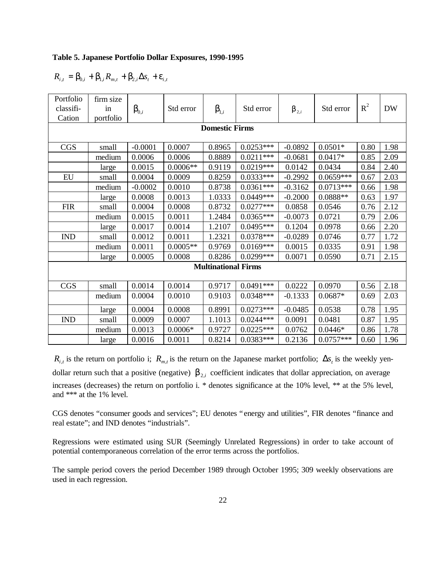#### **Table 5. Japanese Portfolio Dollar Exposures, 1990-1995**

$$
R_{i,t} = \boldsymbol{b}_{0,i} + \boldsymbol{b}_{1,i} R_{m,t} + \boldsymbol{b}_{2,i} \Delta s_t + \boldsymbol{e}_{i,t}
$$

| Portfolio  | firm size             |                |            |                                     |             |                        |             |       |           |  |  |
|------------|-----------------------|----------------|------------|-------------------------------------|-------------|------------------------|-------------|-------|-----------|--|--|
| classifi-  | in                    | $\bm{b}_{0,i}$ | Std error  | $\bm{b}_{\!\scriptscriptstyle 1,i}$ | Std error   | $\boldsymbol{b}_{2,i}$ | Std error   | $R^2$ | <b>DW</b> |  |  |
| Cation     | portfolio             |                |            |                                     |             |                        |             |       |           |  |  |
|            | <b>Domestic Firms</b> |                |            |                                     |             |                        |             |       |           |  |  |
|            |                       |                |            |                                     |             |                        |             |       |           |  |  |
| CGS        | small                 | $-0.0001$      | 0.0007     | 0.8965                              | $0.0253***$ | $-0.0892$              | $0.0501*$   | 0.80  | 1.98      |  |  |
|            | medium                | 0.0006         | 0.0006     | 0.8889                              | $0.0211***$ | $-0.0681$              | $0.0417*$   | 0.85  | 2.09      |  |  |
|            | large                 | 0.0015         | $0.0006**$ | 0.9119                              | $0.0219***$ | 0.0142                 | 0.0434      | 0.84  | 2.40      |  |  |
| EU         | small                 | 0.0004         | 0.0009     | 0.8259                              | $0.0333***$ | $-0.2992$              | $0.0659***$ | 0.67  | 2.03      |  |  |
|            | medium                | $-0.0002$      | 0.0010     | 0.8738                              | $0.0361***$ | $-0.3162$              | $0.0713***$ | 0.66  | 1.98      |  |  |
|            | large                 | 0.0008         | 0.0013     | 1.0333                              | $0.0449***$ | $-0.2000$              | $0.0888**$  | 0.63  | 1.97      |  |  |
| <b>FIR</b> | small                 | 0.0004         | 0.0008     | 0.8732                              | $0.0277***$ | 0.0858                 | 0.0546      | 0.76  | 2.12      |  |  |
|            | medium                | 0.0015         | 0.0011     | 1.2484                              | $0.0365***$ | $-0.0073$              | 0.0721      | 0.79  | 2.06      |  |  |
|            | large                 | 0.0017         | 0.0014     | 1.2107                              | $0.0495***$ | 0.1204                 | 0.0978      | 0.66  | 2.20      |  |  |
| <b>IND</b> | small                 | 0.0012         | 0.0011     | 1.2321                              | $0.0378***$ | $-0.0289$              | 0.0746      | 0.77  | 1.72      |  |  |
|            | medium                | 0.0011         | $0.0005**$ | 0.9769                              | $0.0169***$ | 0.0015                 | 0.0335      | 0.91  | 1.98      |  |  |
|            | large                 | 0.0005         | 0.0008     | 0.8286                              | $0.0299***$ | 0.0071                 | 0.0590      | 0.71  | 2.15      |  |  |
|            |                       |                |            | <b>Multinational Firms</b>          |             |                        |             |       |           |  |  |
|            |                       |                |            |                                     |             |                        |             |       |           |  |  |
| CGS        | small                 | 0.0014         | 0.0014     | 0.9717                              | $0.0491***$ | 0.0222                 | 0.0970      | 0.56  | 2.18      |  |  |
|            | medium                | 0.0004         | 0.0010     | 0.9103                              | $0.0348***$ | $-0.1333$              | $0.0687*$   | 0.69  | 2.03      |  |  |
|            | large                 | 0.0004         | 0.0008     | 0.8991                              | $0.0273***$ | $-0.0485$              | 0.0538      | 0.78  | 1.95      |  |  |
| <b>IND</b> | small                 | 0.0009         | 0.0007     | 1.1013                              | $0.0244***$ | 0.0091                 | 0.0481      | 0.87  | 1.95      |  |  |
|            | medium                | 0.0013         | $0.0006*$  | 0.9727                              | $0.0225***$ | 0.0762                 | $0.0446*$   | 0.86  | 1.78      |  |  |
|            | large                 | 0.0016         | 0.0011     | 0.8214                              | $0.0383***$ | 0.2136                 | $0.0757***$ | 0.60  | 1.96      |  |  |

 $R_{i,t}$  is the return on portfolio i;  $R_{m,t}$  is the return on the Japanese market portfolio;  $\Delta s_t$  is the weekly yendollar return such that a positive (negative)  $b_{2,i}$  coefficient indicates that dollar appreciation, on average increases (decreases) the return on portfolio i. \* denotes significance at the 10% level, \*\* at the 5% level, and \*\*\* at the 1% level.

CGS denotes "consumer goods and services"; EU denotes "energy and utilities", FIR denotes "finance and real estate"; and IND denotes "industrials".

Regressions were estimated using SUR (Seemingly Unrelated Regressions) in order to take account of potential contemporaneous correlation of the error terms across the portfolios.

The sample period covers the period December 1989 through October 1995; 309 weekly observations are used in each regression.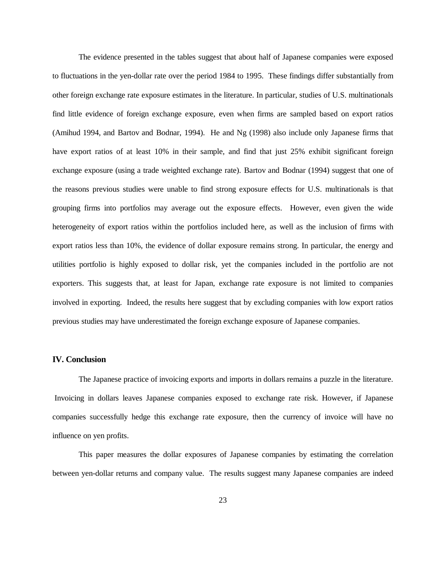The evidence presented in the tables suggest that about half of Japanese companies were exposed to fluctuations in the yen-dollar rate over the period 1984 to 1995. These findings differ substantially from other foreign exchange rate exposure estimates in the literature. In particular, studies of U.S. multinationals find little evidence of foreign exchange exposure, even when firms are sampled based on export ratios (Amihud 1994, and Bartov and Bodnar, 1994). He and Ng (1998) also include only Japanese firms that have export ratios of at least 10% in their sample, and find that just 25% exhibit significant foreign exchange exposure (using a trade weighted exchange rate). Bartov and Bodnar (1994) suggest that one of the reasons previous studies were unable to find strong exposure effects for U.S. multinationals is that grouping firms into portfolios may average out the exposure effects. However, even given the wide heterogeneity of export ratios within the portfolios included here, as well as the inclusion of firms with export ratios less than 10%, the evidence of dollar exposure remains strong. In particular, the energy and utilities portfolio is highly exposed to dollar risk, yet the companies included in the portfolio are not exporters. This suggests that, at least for Japan, exchange rate exposure is not limited to companies involved in exporting. Indeed, the results here suggest that by excluding companies with low export ratios previous studies may have underestimated the foreign exchange exposure of Japanese companies.

## **IV. Conclusion**

The Japanese practice of invoicing exports and imports in dollars remains a puzzle in the literature. Invoicing in dollars leaves Japanese companies exposed to exchange rate risk. However, if Japanese companies successfully hedge this exchange rate exposure, then the currency of invoice will have no influence on yen profits.

This paper measures the dollar exposures of Japanese companies by estimating the correlation between yen-dollar returns and company value. The results suggest many Japanese companies are indeed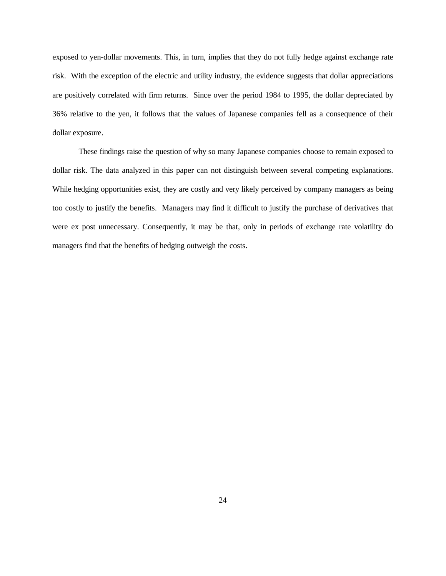exposed to yen-dollar movements. This, in turn, implies that they do not fully hedge against exchange rate risk. With the exception of the electric and utility industry, the evidence suggests that dollar appreciations are positively correlated with firm returns. Since over the period 1984 to 1995, the dollar depreciated by 36% relative to the yen, it follows that the values of Japanese companies fell as a consequence of their dollar exposure.

These findings raise the question of why so many Japanese companies choose to remain exposed to dollar risk. The data analyzed in this paper can not distinguish between several competing explanations. While hedging opportunities exist, they are costly and very likely perceived by company managers as being too costly to justify the benefits. Managers may find it difficult to justify the purchase of derivatives that were ex post unnecessary. Consequently, it may be that, only in periods of exchange rate volatility do managers find that the benefits of hedging outweigh the costs.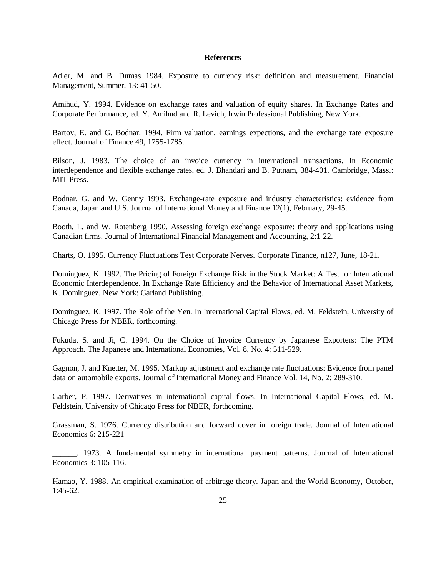#### **References**

Adler, M. and B. Dumas 1984. Exposure to currency risk: definition and measurement. Financial Management, Summer, 13: 41-50.

Amihud, Y. 1994. Evidence on exchange rates and valuation of equity shares. In Exchange Rates and Corporate Performance, ed. Y. Amihud and R. Levich, Irwin Professional Publishing, New York.

Bartov, E. and G. Bodnar. 1994. Firm valuation, earnings expections, and the exchange rate exposure effect. Journal of Finance 49, 1755-1785.

Bilson, J. 1983. The choice of an invoice currency in international transactions. In Economic interdependence and flexible exchange rates, ed. J. Bhandari and B. Putnam, 384-401. Cambridge, Mass.: MIT Press.

Bodnar, G. and W. Gentry 1993. Exchange-rate exposure and industry characteristics: evidence from Canada, Japan and U.S. Journal of International Money and Finance 12(1), February, 29-45.

Booth, L. and W. Rotenberg 1990. Assessing foreign exchange exposure: theory and applications using Canadian firms. Journal of International Financial Management and Accounting, 2:1-22.

Charts, O. 1995. Currency Fluctuations Test Corporate Nerves. Corporate Finance, n127, June, 18-21.

Dominguez, K. 1992. The Pricing of Foreign Exchange Risk in the Stock Market: A Test for International Economic Interdependence. In Exchange Rate Efficiency and the Behavior of International Asset Markets, K. Dominguez, New York: Garland Publishing.

Dominguez, K. 1997. The Role of the Yen. In International Capital Flows, ed. M. Feldstein, University of Chicago Press for NBER, forthcoming.

Fukuda, S. and Ji, C. 1994. On the Choice of Invoice Currency by Japanese Exporters: The PTM Approach. The Japanese and International Economies, Vol. 8, No. 4: 511-529.

Gagnon, J. and Knetter, M. 1995. Markup adjustment and exchange rate fluctuations: Evidence from panel data on automobile exports. Journal of International Money and Finance Vol. 14, No. 2: 289-310.

Garber, P. 1997. Derivatives in international capital flows. In International Capital Flows, ed. M. Feldstein, University of Chicago Press for NBER, forthcoming.

Grassman, S. 1976. Currency distribution and forward cover in foreign trade. Journal of International Economics 6: 215-221

\_\_\_\_\_\_. 1973. A fundamental symmetry in international payment patterns. Journal of International Economics 3: 105-116.

Hamao, Y. 1988. An empirical examination of arbitrage theory. Japan and the World Economy, October, 1:45-62.